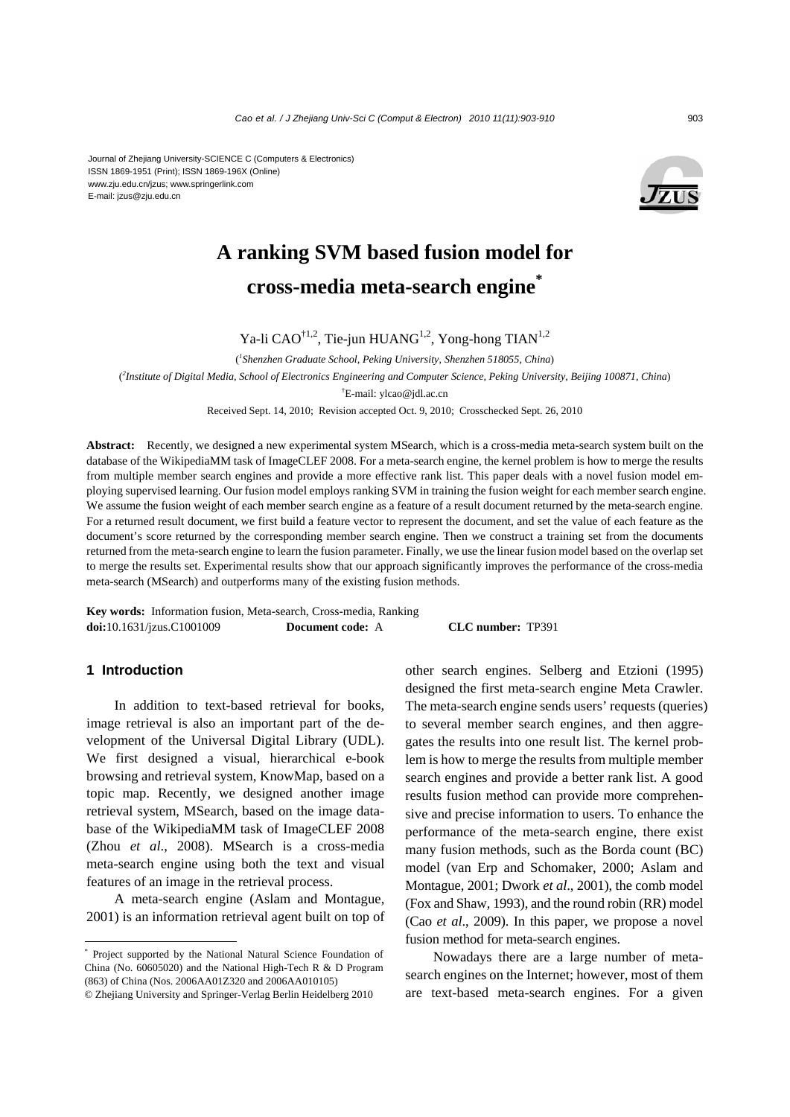#### Journal of Zhejiang University-SCIENCE C (Computers & Electronics) ISSN 1869-1951 (Print); ISSN 1869-196X (Online) www.zju.edu.cn/jzus; www.springerlink.com E-mail: jzus@zju.edu.cn



# **A ranking SVM based fusion model for cross-media meta-search engine\***

Ya-li CAO<sup>†1,2</sup>, Tie-jun HUANG<sup>1,2</sup>, Yong-hong TIAN<sup>1,2</sup>

( *1 Shenzhen Graduate School, Peking University, Shenzhen 518055, China*)

( *2 Institute of Digital Media, School of Electronics Engineering and Computer Science, Peking University, Beijing 100871, China*)

† E-mail: ylcao@jdl.ac.cn

Received Sept. 14, 2010; Revision accepted Oct. 9, 2010; Crosschecked Sept. 26, 2010

**Abstract:** Recently, we designed a new experimental system MSearch, which is a cross-media meta-search system built on the database of the WikipediaMM task of ImageCLEF 2008. For a meta-search engine, the kernel problem is how to merge the results from multiple member search engines and provide a more effective rank list. This paper deals with a novel fusion model employing supervised learning. Our fusion model employs ranking SVM in training the fusion weight for each member search engine. We assume the fusion weight of each member search engine as a feature of a result document returned by the meta-search engine. For a returned result document, we first build a feature vector to represent the document, and set the value of each feature as the document's score returned by the corresponding member search engine. Then we construct a training set from the documents returned from the meta-search engine to learn the fusion parameter. Finally, we use the linear fusion model based on the overlap set to merge the results set. Experimental results show that our approach significantly improves the performance of the cross-media meta-search (MSearch) and outperforms many of the existing fusion methods.

**Key words:** Information fusion, Meta-search, Cross-media, Ranking **doi:**10.1631/jzus.C1001009 **Document code:** A **CLC number:** TP391

## **1 Introduction**

In addition to text-based retrieval for books, image retrieval is also an important part of the development of the Universal Digital Library (UDL). We first designed a visual, hierarchical e-book browsing and retrieval system, KnowMap, based on a topic map. Recently, we designed another image retrieval system, MSearch, based on the image database of the WikipediaMM task of ImageCLEF 2008 (Zhou *et al*., 2008). MSearch is a cross-media meta-search engine using both the text and visual features of an image in the retrieval process.

A meta-search engine (Aslam and Montague, 2001) is an information retrieval agent built on top of other search engines. Selberg and Etzioni (1995) designed the first meta-search engine Meta Crawler. The meta-search engine sends users' requests (queries) to several member search engines, and then aggregates the results into one result list. The kernel problem is how to merge the results from multiple member search engines and provide a better rank list. A good results fusion method can provide more comprehensive and precise information to users. To enhance the performance of the meta-search engine, there exist many fusion methods, such as the Borda count (BC) model (van Erp and Schomaker, 2000; Aslam and Montague, 2001; Dwork *et al*., 2001), the comb model (Fox and Shaw, 1993), and the round robin (RR) model (Cao *et al*., 2009). In this paper, we propose a novel fusion method for meta-search engines.

Nowadays there are a large number of metasearch engines on the Internet; however, most of them are text-based meta-search engines. For a given

<sup>\*</sup> Project supported by the National Natural Science Foundation of China (No. 60605020) and the National High-Tech R & D Program (863) of China (Nos. 2006AA01Z320 and 2006AA010105)

<sup>©</sup> Zhejiang University and Springer-Verlag Berlin Heidelberg 2010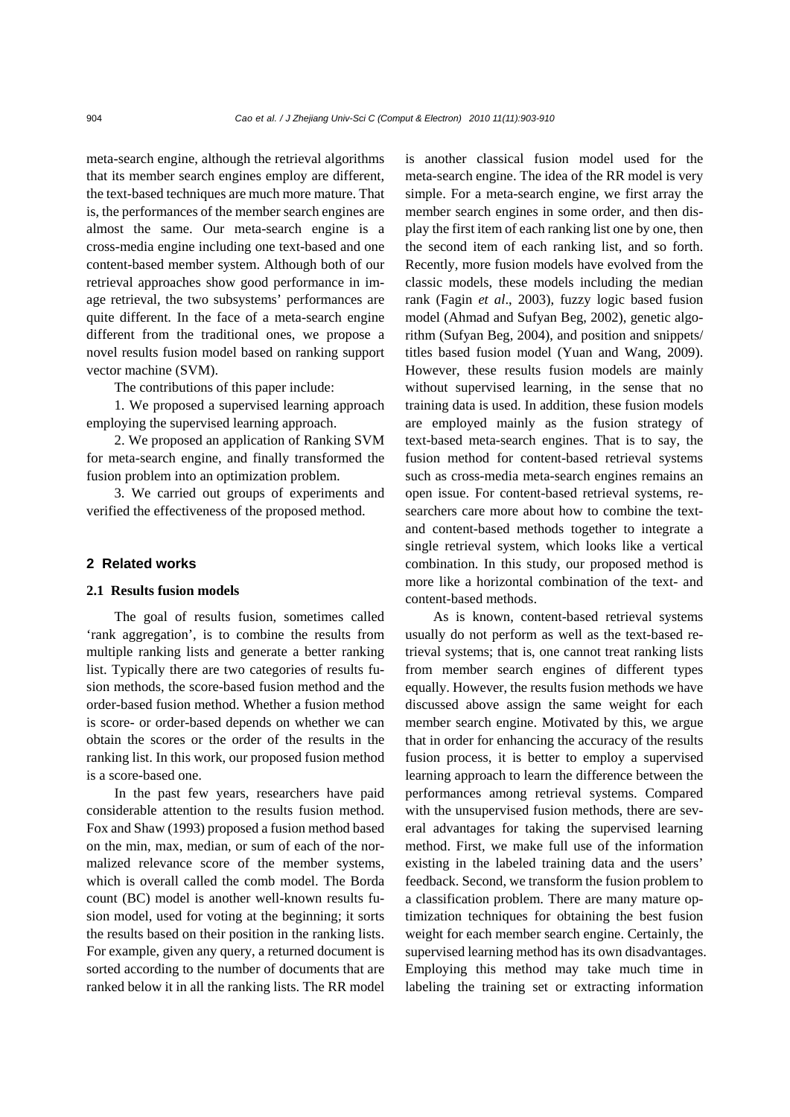meta-search engine, although the retrieval algorithms that its member search engines employ are different, the text-based techniques are much more mature. That is, the performances of the member search engines are almost the same. Our meta-search engine is a cross-media engine including one text-based and one content-based member system. Although both of our retrieval approaches show good performance in image retrieval, the two subsystems' performances are quite different. In the face of a meta-search engine different from the traditional ones, we propose a novel results fusion model based on ranking support vector machine (SVM).

The contributions of this paper include:

1. We proposed a supervised learning approach employing the supervised learning approach.

2. We proposed an application of Ranking SVM for meta-search engine, and finally transformed the fusion problem into an optimization problem.

3. We carried out groups of experiments and verified the effectiveness of the proposed method.

## **2 Related works**

# **2.1 Results fusion models**

The goal of results fusion, sometimes called 'rank aggregation', is to combine the results from multiple ranking lists and generate a better ranking list. Typically there are two categories of results fusion methods, the score-based fusion method and the order-based fusion method. Whether a fusion method is score- or order-based depends on whether we can obtain the scores or the order of the results in the ranking list. In this work, our proposed fusion method is a score-based one.

In the past few years, researchers have paid considerable attention to the results fusion method. Fox and Shaw (1993) proposed a fusion method based on the min, max, median, or sum of each of the normalized relevance score of the member systems, which is overall called the comb model. The Borda count (BC) model is another well-known results fusion model, used for voting at the beginning; it sorts the results based on their position in the ranking lists. For example, given any query, a returned document is sorted according to the number of documents that are ranked below it in all the ranking lists. The RR model is another classical fusion model used for the meta-search engine. The idea of the RR model is very simple. For a meta-search engine, we first array the member search engines in some order, and then display the first item of each ranking list one by one, then the second item of each ranking list, and so forth. Recently, more fusion models have evolved from the classic models, these models including the median rank (Fagin *et al*., 2003), fuzzy logic based fusion model (Ahmad and Sufyan Beg, 2002), genetic algorithm (Sufyan Beg, 2004), and position and snippets/ titles based fusion model (Yuan and Wang, 2009). However, these results fusion models are mainly without supervised learning, in the sense that no training data is used. In addition, these fusion models are employed mainly as the fusion strategy of text-based meta-search engines. That is to say, the fusion method for content-based retrieval systems such as cross-media meta-search engines remains an open issue. For content-based retrieval systems, researchers care more about how to combine the textand content-based methods together to integrate a single retrieval system, which looks like a vertical combination. In this study, our proposed method is more like a horizontal combination of the text- and content-based methods.

As is known, content-based retrieval systems usually do not perform as well as the text-based retrieval systems; that is, one cannot treat ranking lists from member search engines of different types equally. However, the results fusion methods we have discussed above assign the same weight for each member search engine. Motivated by this, we argue that in order for enhancing the accuracy of the results fusion process, it is better to employ a supervised learning approach to learn the difference between the performances among retrieval systems. Compared with the unsupervised fusion methods, there are several advantages for taking the supervised learning method. First, we make full use of the information existing in the labeled training data and the users' feedback. Second, we transform the fusion problem to a classification problem. There are many mature optimization techniques for obtaining the best fusion weight for each member search engine. Certainly, the supervised learning method has its own disadvantages. Employing this method may take much time in labeling the training set or extracting information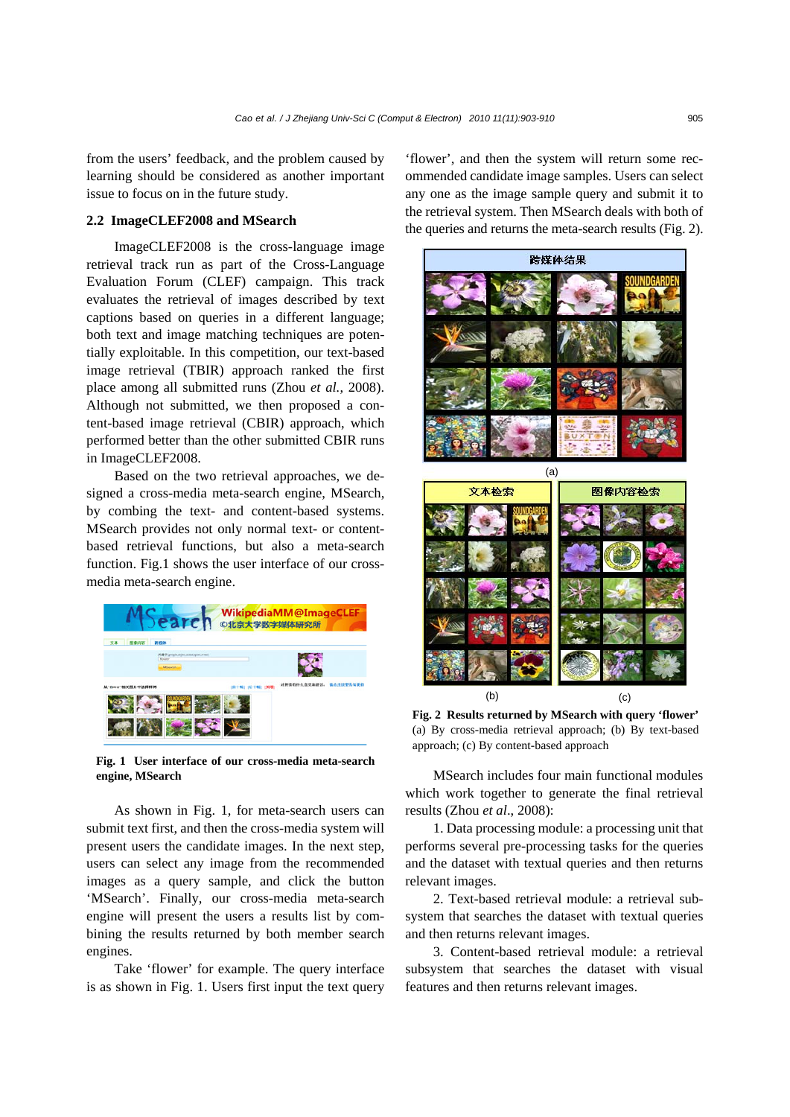from the users' feedback, and the problem caused by learning should be considered as another important issue to focus on in the future study.

# **2.2 ImageCLEF2008 and MSearch**

ImageCLEF2008 is the cross-language image retrieval track run as part of the Cross-Language Evaluation Forum (CLEF) campaign. This track evaluates the retrieval of images described by text captions based on queries in a different language; both text and image matching techniques are potentially exploitable. In this competition, our text-based image retrieval (TBIR) approach ranked the first place among all submitted runs (Zhou *et al.*, 2008). Although not submitted, we then proposed a content-based image retrieval (CBIR) approach, which performed better than the other submitted CBIR runs in ImageCLEF2008.

Based on the two retrieval approaches, we designed a cross-media meta-search engine, MSearch, by combing the text- and content-based systems. MSearch provides not only normal text- or contentbased retrieval functions, but also a meta-search function. Fig.1 shows the user interface of our crossmedia meta-search engine.



**Fig. 1 User interface of our cross-media meta-search engine, MSearch** 

As shown in Fig. 1, for meta-search users can submit text first, and then the cross-media system will present users the candidate images. In the next step, users can select any image from the recommended images as a query sample, and click the button 'MSearch'. Finally, our cross-media meta-search engine will present the users a results list by combining the results returned by both member search engines.

Take 'flower' for example. The query interface is as shown in Fig. 1. Users first input the text query 'flower', and then the system will return some recommended candidate image samples. Users can select any one as the image sample query and submit it to the retrieval system. Then MSearch deals with both of the queries and returns the meta-search results (Fig. 2).



**Fig. 2 Results returned by MSearch with query 'flower'**  (a) By cross-media retrieval approach; (b) By text-based approach; (c) By content-based approach

MSearch includes four main functional modules which work together to generate the final retrieval results (Zhou *et al*., 2008):

1. Data processing module: a processing unit that performs several pre-processing tasks for the queries and the dataset with textual queries and then returns relevant images.

2. Text-based retrieval module: a retrieval subsystem that searches the dataset with textual queries and then returns relevant images.

3. Content-based retrieval module: a retrieval subsystem that searches the dataset with visual features and then returns relevant images.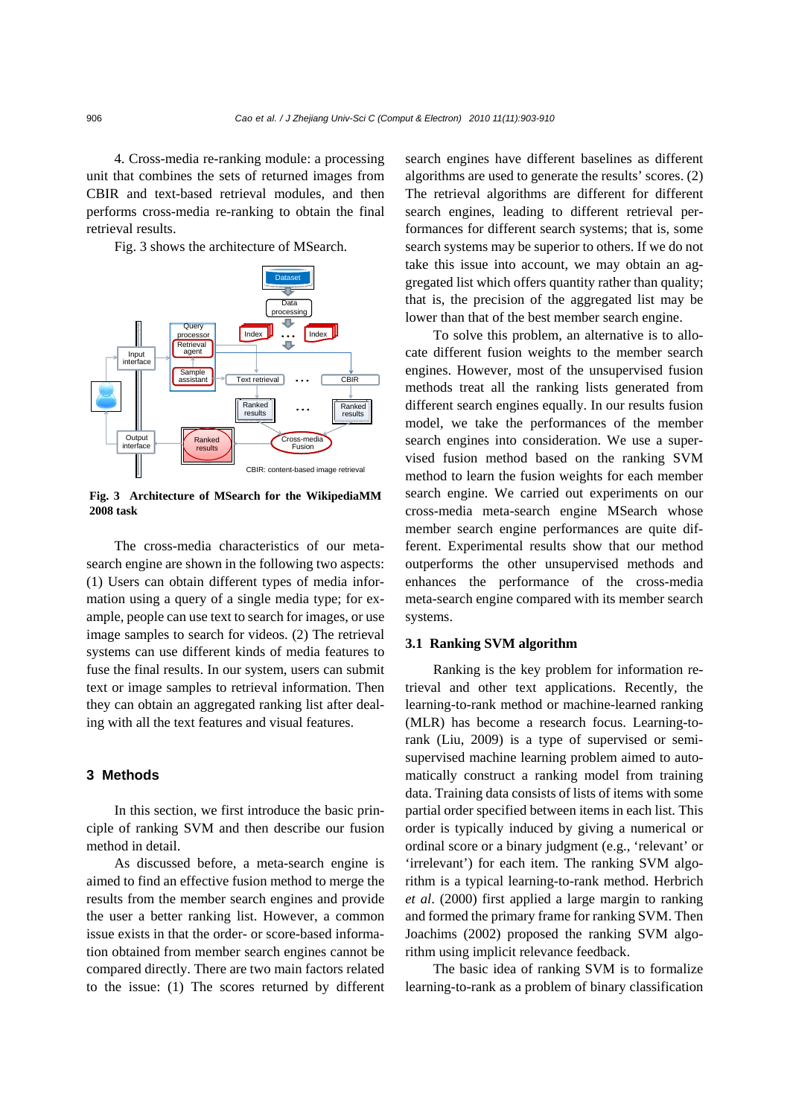4. Cross-media re-ranking module: a processing unit that combines the sets of returned images from CBIR and text-based retrieval modules, and then performs cross-media re-ranking to obtain the final retrieval results.

Fig. 3 shows the architecture of MSearch.



**Fig. 3 Architecture of MSearch for the WikipediaMM 2008 task** 

The cross-media characteristics of our metasearch engine are shown in the following two aspects: (1) Users can obtain different types of media information using a query of a single media type; for example, people can use text to search for images, or use image samples to search for videos. (2) The retrieval systems can use different kinds of media features to fuse the final results. In our system, users can submit text or image samples to retrieval information. Then they can obtain an aggregated ranking list after dealing with all the text features and visual features.

# **3 Methods**

In this section, we first introduce the basic principle of ranking SVM and then describe our fusion method in detail.

As discussed before, a meta-search engine is aimed to find an effective fusion method to merge the results from the member search engines and provide the user a better ranking list. However, a common issue exists in that the order- or score-based information obtained from member search engines cannot be compared directly. There are two main factors related to the issue: (1) The scores returned by different search engines have different baselines as different algorithms are used to generate the results' scores. (2) The retrieval algorithms are different for different search engines, leading to different retrieval performances for different search systems; that is, some search systems may be superior to others. If we do not take this issue into account, we may obtain an aggregated list which offers quantity rather than quality; that is, the precision of the aggregated list may be lower than that of the best member search engine.

To solve this problem, an alternative is to allocate different fusion weights to the member search engines. However, most of the unsupervised fusion methods treat all the ranking lists generated from different search engines equally. In our results fusion model, we take the performances of the member search engines into consideration. We use a supervised fusion method based on the ranking SVM method to learn the fusion weights for each member search engine. We carried out experiments on our cross-media meta-search engine MSearch whose member search engine performances are quite different. Experimental results show that our method outperforms the other unsupervised methods and enhances the performance of the cross-media meta-search engine compared with its member search systems.

## **3.1 Ranking SVM algorithm**

Ranking is the key problem for information retrieval and other text applications. Recently, the learning-to-rank method or machine-learned ranking (MLR) has become a research focus. Learning-torank (Liu, 2009) is a type of supervised or semisupervised machine learning problem aimed to automatically construct a ranking model from training data. Training data consists of lists of items with some partial order specified between items in each list. This order is typically induced by giving a numerical or ordinal score or a binary judgment (e.g., 'relevant' or 'irrelevant') for each item. The ranking SVM algorithm is a typical learning-to-rank method. Herbrich *et al*. (2000) first applied a large margin to ranking and formed the primary frame for ranking SVM. Then Joachims (2002) proposed the ranking SVM algorithm using implicit relevance feedback.

The basic idea of ranking SVM is to formalize learning-to-rank as a problem of binary classification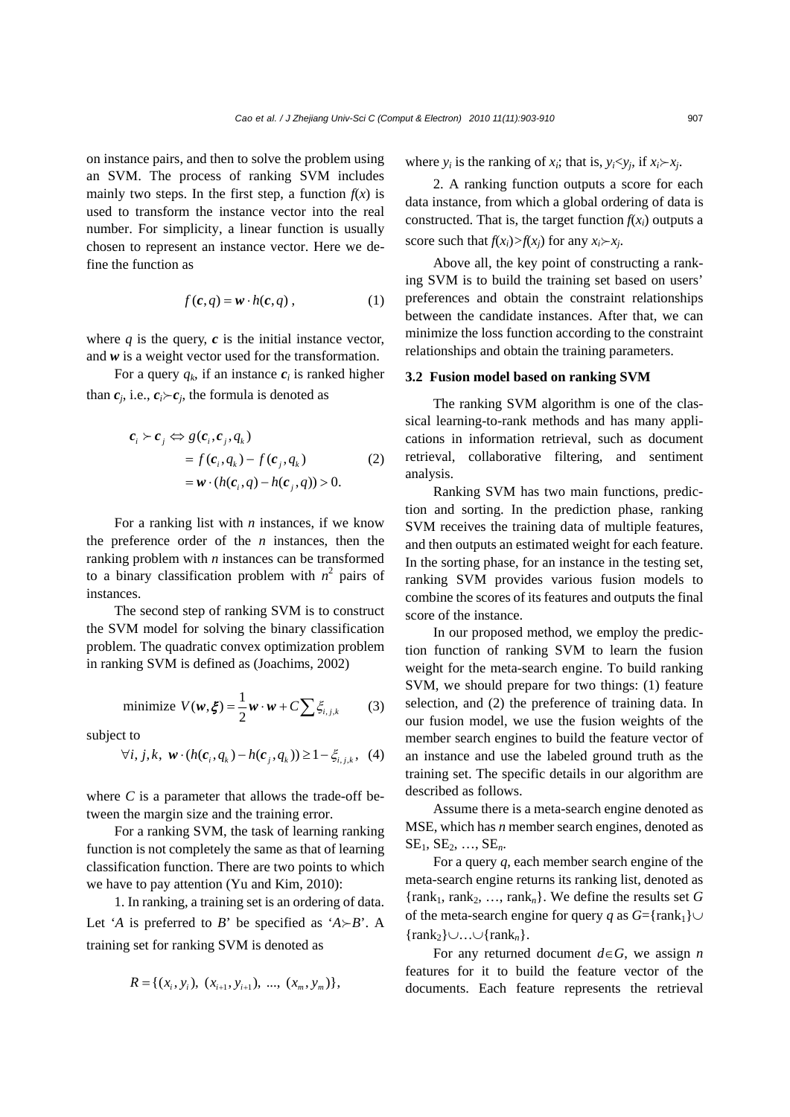on instance pairs, and then to solve the problem using an SVM. The process of ranking SVM includes mainly two steps. In the first step, a function  $f(x)$  is used to transform the instance vector into the real number. For simplicity, a linear function is usually chosen to represent an instance vector. Here we define the function as

$$
f(c,q) = w \cdot h(c,q) , \qquad (1)
$$

where  $q$  is the query,  $c$  is the initial instance vector, and *w* is a weight vector used for the transformation.

For a query  $q_k$ , if an instance  $c_i$  is ranked higher than  $c_i$ , i.e.,  $c_i \succ c_j$ , the formula is denoted as

$$
c_i \succ c_j \Leftrightarrow g(c_i, c_j, q_k)
$$
  
=  $f(c_i, q_k) - f(c_j, q_k)$  (2)  
=  $w \cdot (h(c_i, q) - h(c_j, q)) > 0$ .

For a ranking list with *n* instances, if we know the preference order of the *n* instances, then the ranking problem with *n* instances can be transformed to a binary classification problem with  $n^2$  pairs of instances.

The second step of ranking SVM is to construct the SVM model for solving the binary classification problem. The quadratic convex optimization problem in ranking SVM is defined as (Joachims, 2002)

minimize 
$$
V(\mathbf{w}, \boldsymbol{\xi}) = \frac{1}{2} \mathbf{w} \cdot \mathbf{w} + C \sum \xi_{i,j,k}
$$
 (3)

subject to

$$
\forall i, j, k, \mathbf{w} \cdot (h(\mathbf{c}_i, q_k) - h(\mathbf{c}_j, q_k)) \ge 1 - \xi_{i,j,k}, \tag{4}
$$

where *C* is a parameter that allows the trade-off between the margin size and the training error.

For a ranking SVM, the task of learning ranking function is not completely the same as that of learning classification function. There are two points to which we have to pay attention (Yu and Kim, 2010):

1. In ranking, a training set is an ordering of data. Let '*A* is preferred to *B*' be specified as ' $A \succ B$ '. A training set for ranking SVM is denoted as

$$
R = \{ (x_i, y_i), (x_{i+1}, y_{i+1}), ..., (x_m, y_m) \},\
$$

where  $y_i$  is the ranking of  $x_i$ ; that is,  $y_i < y_j$ , if  $x_i \succ x_j$ .

2. A ranking function outputs a score for each data instance, from which a global ordering of data is constructed. That is, the target function  $f(x_i)$  outputs a score such that  $f(x_i) > f(x_i)$  for any  $x_i \succ x_i$ .

Above all, the key point of constructing a ranking SVM is to build the training set based on users' preferences and obtain the constraint relationships between the candidate instances. After that, we can minimize the loss function according to the constraint relationships and obtain the training parameters.

# **3.2 Fusion model based on ranking SVM**

The ranking SVM algorithm is one of the classical learning-to-rank methods and has many applications in information retrieval, such as document retrieval, collaborative filtering, and sentiment analysis.

Ranking SVM has two main functions, prediction and sorting. In the prediction phase, ranking SVM receives the training data of multiple features, and then outputs an estimated weight for each feature. In the sorting phase, for an instance in the testing set, ranking SVM provides various fusion models to combine the scores of its features and outputs the final score of the instance.

In our proposed method, we employ the prediction function of ranking SVM to learn the fusion weight for the meta-search engine. To build ranking SVM, we should prepare for two things: (1) feature selection, and (2) the preference of training data. In our fusion model, we use the fusion weights of the member search engines to build the feature vector of an instance and use the labeled ground truth as the training set. The specific details in our algorithm are described as follows.

Assume there is a meta-search engine denoted as MSE, which has *n* member search engines, denoted as SE1, SE2, …, SE*n*.

For a query *q*, each member search engine of the meta-search engine returns its ranking list, denoted as  ${rank_1, rank_2, ..., rank_n}.$  We define the results set G of the meta-search engine for query *q* as *G*={rank1}∪ {rank2}∪…∪{rank*n*}.

For any returned document  $d \in G$ , we assign *n* features for it to build the feature vector of the documents. Each feature represents the retrieval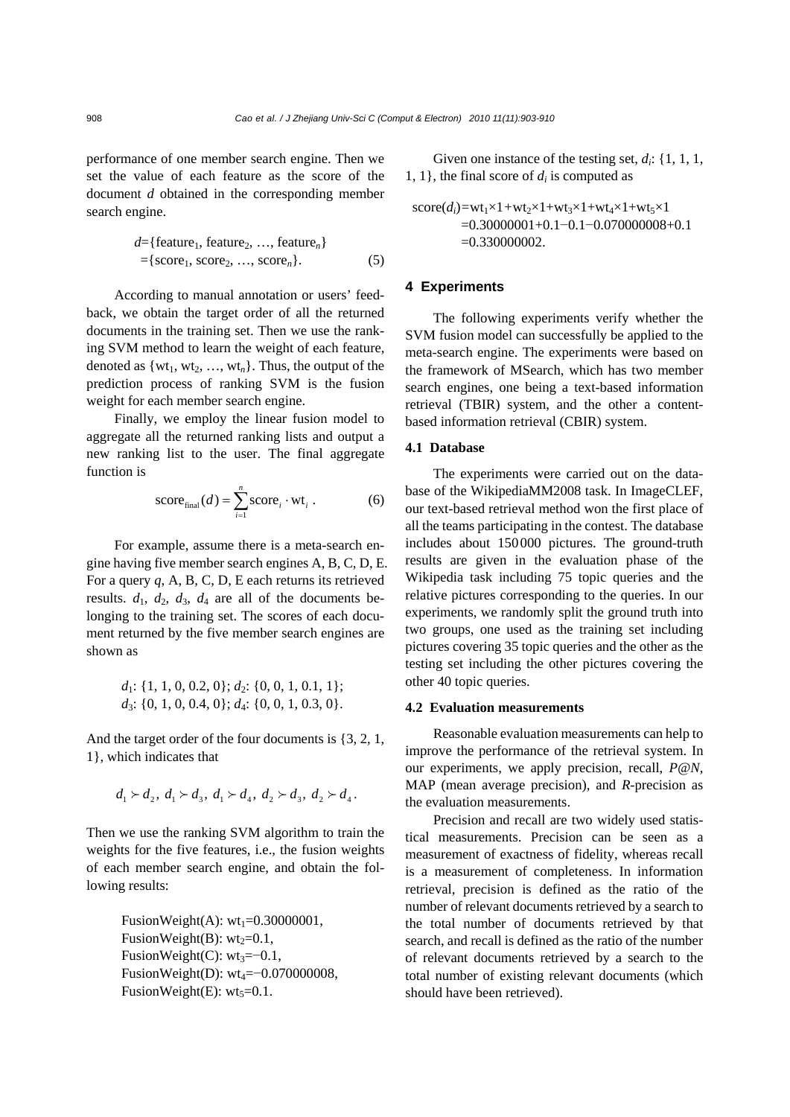performance of one member search engine. Then we set the value of each feature as the score of the document *d* obtained in the corresponding member search engine.

$$
d = \{ \text{feature}_1, \text{ feature}_2, \dots, \text{feature}_n \}
$$
  
= \{ \text{score}\_1, \text{score}\_2, \dots, \text{score}\_n \}. (5)

According to manual annotation or users' feedback, we obtain the target order of all the returned documents in the training set. Then we use the ranking SVM method to learn the weight of each feature, denoted as  $\{wt_1, wt_2, ..., wt_n\}$ . Thus, the output of the prediction process of ranking SVM is the fusion weight for each member search engine.

Finally, we employ the linear fusion model to aggregate all the returned ranking lists and output a new ranking list to the user. The final aggregate function is

score<sub>final</sub>
$$
(d) = \sum_{i=1}^{n} \text{score}_i \cdot \text{wt}_i
$$
. (6)

For example, assume there is a meta-search engine having five member search engines A, B, C, D, E. For a query *q*, A, B, C, D, E each returns its retrieved results.  $d_1$ ,  $d_2$ ,  $d_3$ ,  $d_4$  are all of the documents belonging to the training set. The scores of each document returned by the five member search engines are shown as

$$
d_1
$$
: {1, 1, 0, 0.2, 0};  $d_2$ : {0, 0, 1, 0.1, 1};  
 $d_3$ : {0, 1, 0, 0.4, 0};  $d_4$ : {0, 0, 1, 0.3, 0}.

And the target order of the four documents is {3, 2, 1, 1}, which indicates that

$$
d_1 \succ d_2, d_1 \succ d_3, d_1 \succ d_4, d_2 \succ d_3, d_2 \succ d_4.
$$

Then we use the ranking SVM algorithm to train the weights for the five features, i.e., the fusion weights of each member search engine, and obtain the following results:

> FusionWeight(A):  $wt_1 = 0.30000001$ , FusionWeight(B):  $wt_2=0.1$ , FusionWeight(C):  $wt_3=-0.1$ , FusionWeight(D):  $wt_4 = -0.070000008$ , FusionWeight(E):  $wt_5=0.1$ .

Given one instance of the testing set,  $d_i$ : {1, 1, 1, 1, 1}, the final score of *di* is computed as

score(
$$
d_i
$$
)=wt<sub>1</sub>×1+wt<sub>2</sub>×1+wt<sub>3</sub>×1+wt<sub>4</sub>×1+wt<sub>5</sub>×1  
=0.30000001+0.1-0.1-0.070000008+0.1  
=0.330000002.

# **4 Experiments**

The following experiments verify whether the SVM fusion model can successfully be applied to the meta-search engine. The experiments were based on the framework of MSearch, which has two member search engines, one being a text-based information retrieval (TBIR) system, and the other a contentbased information retrieval (CBIR) system.

# **4.1 Database**

The experiments were carried out on the database of the WikipediaMM2008 task. In ImageCLEF, our text-based retrieval method won the first place of all the teams participating in the contest. The database includes about 150000 pictures. The ground-truth results are given in the evaluation phase of the Wikipedia task including 75 topic queries and the relative pictures corresponding to the queries. In our experiments, we randomly split the ground truth into two groups, one used as the training set including pictures covering 35 topic queries and the other as the testing set including the other pictures covering the other 40 topic queries.

# **4.2 Evaluation measurements**

Reasonable evaluation measurements can help to improve the performance of the retrieval system. In our experiments, we apply precision, recall, *P@N*, MAP (mean average precision), and *R*-precision as the evaluation measurements.

Precision and recall are two widely used statistical measurements. Precision can be seen as a measurement of exactness of fidelity, whereas recall is a measurement of completeness. In information retrieval, precision is defined as the ratio of the number of relevant documents retrieved by a search to the total number of documents retrieved by that search, and recall is defined as the ratio of the number of relevant documents retrieved by a search to the total number of existing relevant documents (which should have been retrieved).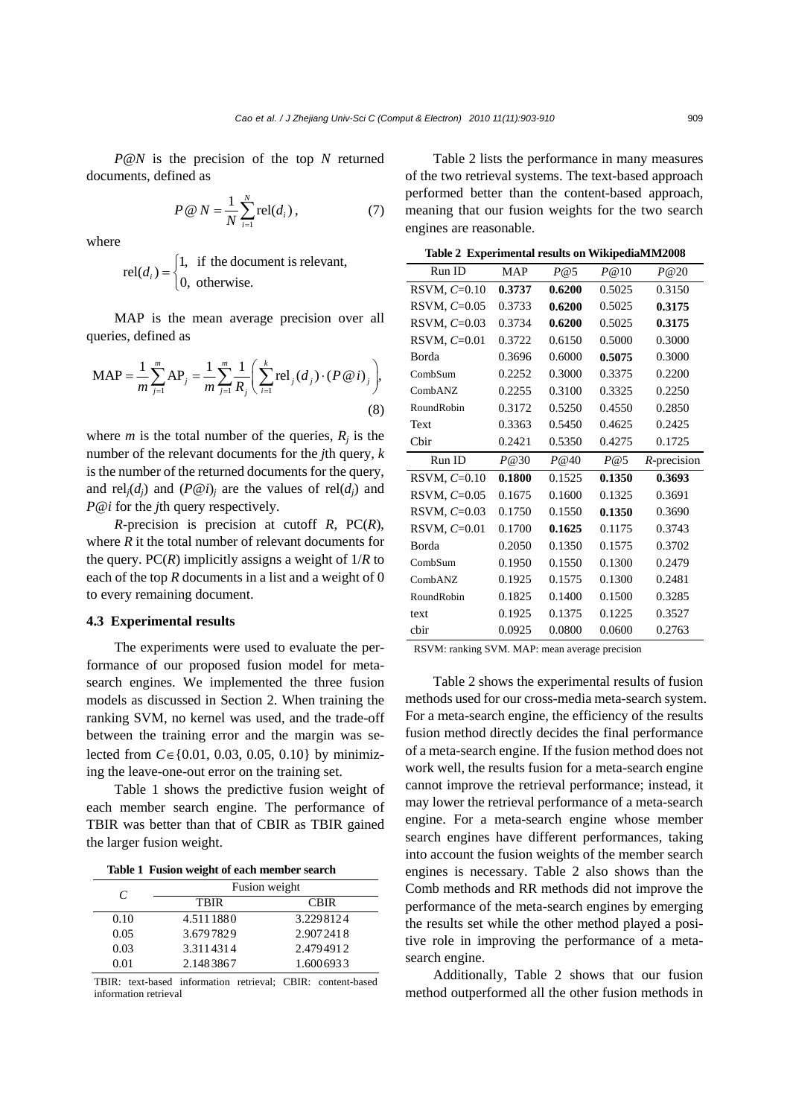*P@N* is the precision of the top *N* returned documents, defined as

$$
P \tQ N = \frac{1}{N} \sum_{i=1}^{N} rel(d_i), \t\t(7)
$$

where

 $rel(d_i) = \begin{cases} 1, & \text{if the document is relevant,} \\ 0, & \text{otherwise.} \end{cases}$ 

MAP is the mean average precision over all queries, defined as

$$
\text{MAP} = \frac{1}{m} \sum_{j=1}^{m} \text{AP}_{j} = \frac{1}{m} \sum_{j=1}^{m} \frac{1}{R_{j}} \left( \sum_{i=1}^{k} \text{rel}_{j} (d_{j}) \cdot (P \circledast i)_{j} \right),\tag{8}
$$

where *m* is the total number of the queries,  $R_i$  is the number of the relevant documents for the *j*th query, *k* is the number of the returned documents for the query, and rel<sub>*i*</sub>( $d_i$ ) and (*P*<sup>*@i*</sup>)*j* are the values of rel( $d_i$ ) and *P@i* for the *j*th query respectively.

*R*-precision is precision at cutoff *R*, PC(*R*), where *R* it the total number of relevant documents for the query.  $PC(R)$  implicitly assigns a weight of  $1/R$  to each of the top *R* documents in a list and a weight of 0 to every remaining document.

#### **4.3 Experimental results**

The experiments were used to evaluate the performance of our proposed fusion model for metasearch engines. We implemented the three fusion models as discussed in Section 2. When training the ranking SVM, no kernel was used, and the trade-off between the training error and the margin was selected from *C*∈{0.01, 0.03, 0.05, 0.10} by minimizing the leave-one-out error on the training set.

Table 1 shows the predictive fusion weight of each member search engine. The performance of TBIR was better than that of CBIR as TBIR gained the larger fusion weight.

**Table 1 Fusion weight of each member search**

| C    | Fusion weight |             |  |
|------|---------------|-------------|--|
|      | TRIR          | <b>CBIR</b> |  |
| 0.10 | 4.5111880     | 3.2298124   |  |
| 0.05 | 3.6797829     | 2.9072418   |  |
| 0.03 | 3.3114314     | 2.4794912   |  |
| 0.01 | 2.1483867     | 1.6006933   |  |

TBIR: text-based information retrieval; CBIR: content-based information retrieval

Table 2 lists the performance in many measures of the two retrieval systems. The text-based approach performed better than the content-based approach, meaning that our fusion weights for the two search engines are reasonable.

|  |  |  | Table 2 Experimental results on WikipediaMM2008 |
|--|--|--|-------------------------------------------------|
|--|--|--|-------------------------------------------------|

| Run ID         | <b>MAP</b> | P@5    | P@10   | P@20           |
|----------------|------------|--------|--------|----------------|
| RSVM, $C=0.10$ | 0.3737     | 0.6200 | 0.5025 | 0.3150         |
| RSVM, $C=0.05$ | 0.3733     | 0.6200 | 0.5025 | 0.3175         |
| RSVM, $C=0.03$ | 0.3734     | 0.6200 | 0.5025 | 0.3175         |
| RSVM, $C=0.01$ | 0.3722     | 0.6150 | 0.5000 | 0.3000         |
| Borda          | 0.3696     | 0.6000 | 0.5075 | 0.3000         |
| CombSum        | 0.2252     | 0.3000 | 0.3375 | 0.2200         |
| CombANZ        | 0.2255     | 0.3100 | 0.3325 | 0.2250         |
| RoundRobin     | 0.3172     | 0.5250 | 0.4550 | 0.2850         |
| Text           | 0.3363     | 0.5450 | 0.4625 | 0.2425         |
| Cbir           | 0.2421     | 0.5350 | 0.4275 | 0.1725         |
|                |            |        |        |                |
| Run ID         | P@30       | P@40   | P@5    | $R$ -precision |
| RSVM, $C=0.10$ | 0.1800     | 0.1525 | 0.1350 | 0.3693         |
| RSVM, $C=0.05$ | 0.1675     | 0.1600 | 0.1325 | 0.3691         |
| RSVM, $C=0.03$ | 0.1750     | 0.1550 | 0.1350 | 0.3690         |
| RSVM, $C=0.01$ | 0.1700     | 0.1625 | 0.1175 | 0.3743         |
| Borda          | 0.2050     | 0.1350 | 0.1575 | 0.3702         |
| CombSum        | 0.1950     | 0.1550 | 0.1300 | 0.2479         |
| CombANZ        | 0.1925     | 0.1575 | 0.1300 | 0.2481         |
| RoundRobin     | 0.1825     | 0.1400 | 0.1500 | 0.3285         |
| text           | 0.1925     | 0.1375 | 0.1225 | 0.3527         |

RSVM: ranking SVM. MAP: mean average precision

Table 2 shows the experimental results of fusion methods used for our cross-media meta-search system. For a meta-search engine, the efficiency of the results fusion method directly decides the final performance of a meta-search engine. If the fusion method does not work well, the results fusion for a meta-search engine cannot improve the retrieval performance; instead, it may lower the retrieval performance of a meta-search engine. For a meta-search engine whose member search engines have different performances, taking into account the fusion weights of the member search engines is necessary. Table 2 also shows than the Comb methods and RR methods did not improve the performance of the meta-search engines by emerging the results set while the other method played a positive role in improving the performance of a metasearch engine.

Additionally, Table 2 shows that our fusion method outperformed all the other fusion methods in